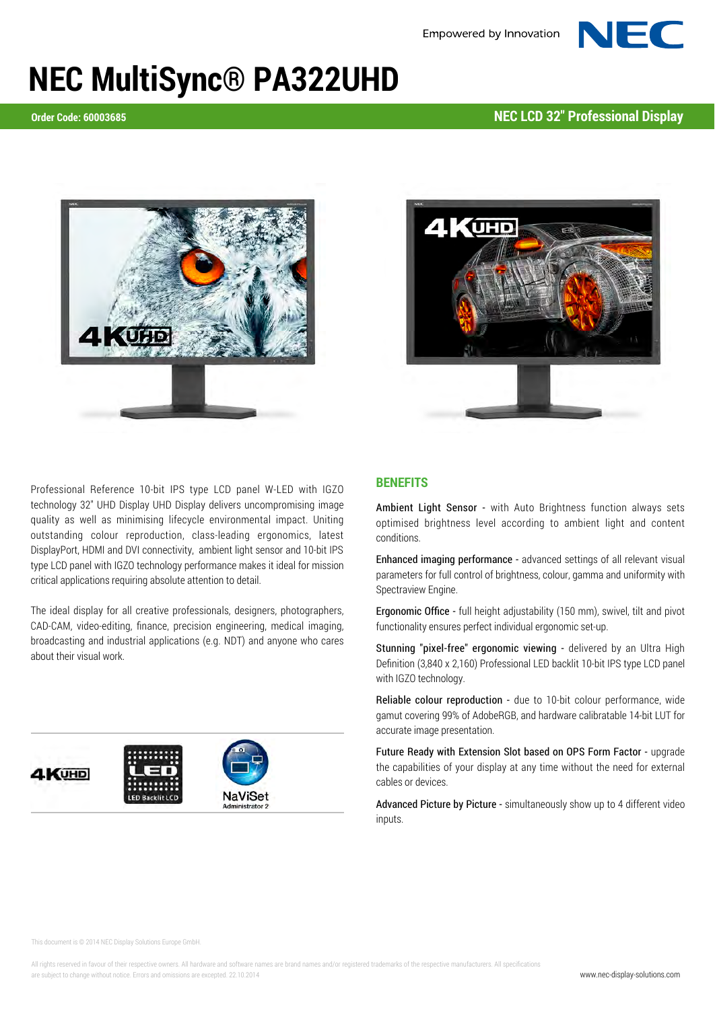## **NEC MultiSync® PA322UHD**

**Order Code: 60003685 NEC LCD 32" Professional Display**





Professional Reference 10-bit IPS type LCD panel W-LED with IGZO technology 32" UHD Display UHD Display delivers uncompromising image quality as well as minimising lifecycle environmental impact. Uniting outstanding colour reproduction, class-leading ergonomics, latest DisplayPort, HDMI and DVI connectivity, ambient light sensor and 10-bit IPS type LCD panel with IGZO technology performance makes it ideal for mission critical applications requiring absolute attention to detail.

The ideal display for all creative professionals, designers, photographers, CAD-CAM, video-editing, finance, precision engineering, medical imaging, broadcasting and industrial applications (e.g. NDT) and anyone who cares about their visual work.



## **BENEFITS**

**Ambient Light Sensor -** with Auto Brightness function always sets optimised brightness level according to ambient light and content conditions.

**Enhanced imaging performance -** advanced settings of all relevant visual parameters for full control of brightness, colour, gamma and uniformity with Spectraview Engine.

**Ergonomic Office -** full height adjustability (150 mm), swivel, tilt and pivot functionality ensures perfect individual ergonomic set-up.

**Stunning "pixel-free" ergonomic viewing -** delivered by an Ultra High Definition (3,840 x 2,160) Professional LED backlit 10-bit IPS type LCD panel with IGZO technology.

**Reliable colour reproduction -** due to 10-bit colour performance, wide gamut covering 99% of AdobeRGB, and hardware calibratable 14-bit LUT for accurate image presentation.

**Future Ready with Extension Slot based on OPS Form Factor -** upgrade the capabilities of your display at any time without the need for external cables or devices.

**Advanced Picture by Picture -** simultaneously show up to 4 different video inputs.

This document is © 2014 NEC Display Solutions Europe GmbH.